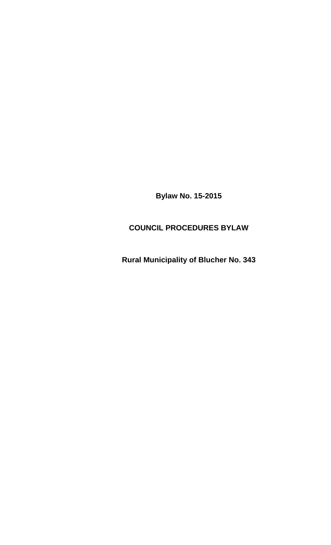**Bylaw No. 15-2015** 

## **COUNCIL PROCEDURES BYLAW**

**Rural Municipality of Blucher No. 343**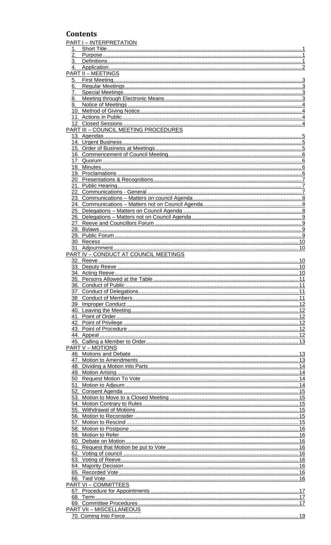## **Contents**

|         | PART I - INTERPRETATION                      |    |
|---------|----------------------------------------------|----|
| 1.      |                                              |    |
| 2.      |                                              |    |
| $3_{-}$ |                                              |    |
|         |                                              |    |
|         | <b>PART II - MEETINGS</b>                    |    |
| 6.      |                                              |    |
| 7.      |                                              |    |
| 8.      |                                              |    |
|         |                                              |    |
|         |                                              |    |
|         |                                              |    |
|         |                                              |    |
|         | <b>PART III - COUNCIL MEETING PROCEDURES</b> |    |
|         |                                              |    |
|         |                                              |    |
|         |                                              |    |
|         |                                              |    |
|         |                                              |    |
|         |                                              |    |
|         |                                              |    |
|         |                                              |    |
|         |                                              |    |
|         |                                              |    |
|         |                                              |    |
|         |                                              |    |
|         |                                              |    |
|         |                                              |    |
|         |                                              |    |
|         |                                              |    |
|         |                                              |    |
|         |                                              |    |
|         |                                              |    |
|         |                                              |    |
|         |                                              |    |
|         |                                              |    |
|         |                                              |    |
|         |                                              |    |
|         |                                              |    |
|         |                                              |    |
|         |                                              |    |
|         |                                              |    |
|         |                                              |    |
|         |                                              |    |
|         |                                              |    |
|         |                                              |    |
|         |                                              |    |
|         |                                              |    |
|         | <b>PART V - MOTIONS</b>                      |    |
|         |                                              |    |
|         |                                              |    |
|         |                                              |    |
|         |                                              |    |
|         |                                              |    |
|         |                                              |    |
|         |                                              |    |
|         |                                              |    |
|         |                                              |    |
|         |                                              |    |
|         |                                              |    |
|         |                                              |    |
|         |                                              |    |
|         |                                              |    |
|         |                                              |    |
|         |                                              |    |
|         |                                              |    |
|         |                                              |    |
|         |                                              |    |
|         |                                              |    |
|         | <b>PART VI-COMMITTEES</b>                    |    |
|         |                                              |    |
|         |                                              |    |
|         |                                              |    |
|         | <b>PART VII - MISCELLANEOUS</b>              | 19 |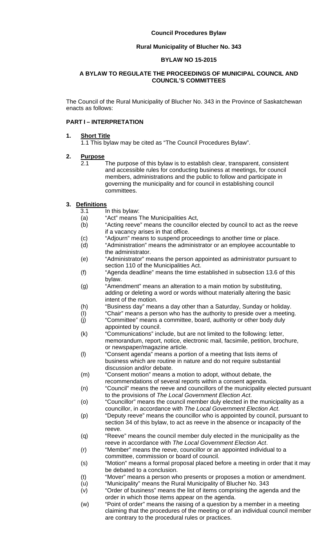#### **Rural Municipality of Blucher No. 343**

#### **BYLAW NO 15-2015**

#### **A BYLAW TO REGULATE THE PROCEEDINGS OF MUNICIPAL COUNCIL AND COUNCIL'S COMMITTEES**

The Council of the Rural Municipality of Blucher No. 343 in the Province of Saskatchewan enacts as follows:

#### **PART I – INTERPRETATION**

#### **1. Short Title**

1.1 This bylaw may be cited as "The Council Procedures Bylaw".

## **2. Purpose**

 2.1 The purpose of this bylaw is to establish clear, transparent, consistent and accessible rules for conducting business at meetings, for council members, administrations and the public to follow and participate in governing the municipality and for council in establishing council committees.

#### **3. Definitions**

- 3.1 In this bylaw:
- (a) "Act" means The Municipalities Act,
- (b) "Acting reeve" means the councillor elected by council to act as the reeve if a vacancy arises in that office.
- (c) "Adjourn" means to suspend proceedings to another time or place.
- (d) "Administration" means the administrator or an employee accountable to the administrator.
- (e) "Administrator" means the person appointed as administrator pursuant to section 110 of the Municipalities Act.
- (f) "Agenda deadline" means the time established in subsection 13.6 of this bylaw.
- (g) "Amendment" means an alteration to a main motion by substituting, adding or deleting a word or words without materially altering the basic intent of the motion.
- (h) "Business day" means a day other than a Saturday, Sunday or holiday.
- (I) "Chair" means a person who has the authority to preside over a meeting.
- $(j)$  "Committee" means a committee, board, authority or other body duly appointed by council.
- (k) "Communications" include, but are not limited to the following: letter, memorandum, report, notice, electronic mail, facsimile, petition, brochure, or newspaper/magazine article.
- (l) "Consent agenda" means a portion of a meeting that lists items of business which are routine in nature and do not require substantial discussion and/or debate.
- (m) "Consent motion" means a motion to adopt, without debate, the recommendations of several reports within a consent agenda.
- (n) "Council" means the reeve and councillors of the municipality elected pursuant to the provisions of *The Local Government Election Act*.
- (o) "Councillor" means the council member duly elected in the municipality as a councillor, in accordance with *The Local Government Election Act*.
- (p) "Deputy reeve" means the councillor who is appointed by council, pursuant to section 34 of this bylaw, to act as reeve in the absence or incapacity of the reeve.
- (q) "Reeve" means the council member duly elected in the municipality as the reeve in accordance with *The Local Government Election Act*.
- (r) "Member" means the reeve, councillor or an appointed individual to a committee, commission or board of council.
- (s) "Motion" means a formal proposal placed before a meeting in order that it may be debated to a conclusion.
- (t) "Mover" means a person who presents or proposes a motion or amendment.
- (u) "Municipality" means the Rural Municipality of Blucher No. 343
- (v) "Order of business" means the list of items comprising the agenda and the order in which those items appear on the agenda.
- (w) "Point of order" means the raising of a question by a member in a meeting claiming that the procedures of the meeting or of an individual council member are contrary to the procedural rules or practices.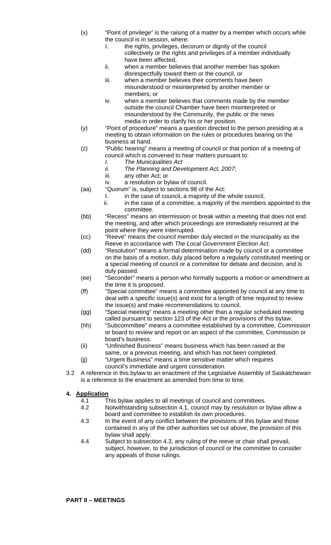- (x) "Point of privilege" is the raising of a matter by a member which occurs while the council is in session, where:
	- I. the rights, privileges, decorum or dignity of the council collectively or the rights and privileges of a member individually have been affected,
	- ii. when a member believes that another member has spoken disrespectfully toward them or the council, or
	- iii. when a member believes their comments have been misunderstood or misinterpreted by another member or members; or
	- iv. when a member believes that comments made by the member outside the council Chamber have been misinterpreted or misunderstood by the Community, the public or the news media in order to clarify his or her position.
- (y) "Point of procedure" means a question directed to the person presiding at a meeting to obtain information on the rules or procedures bearing on the business at hand.
- (z) "Public hearing" means a meeting of council or that portion of a meeting of council which is convened to hear matters pursuant to:
	- *I. The Municipalities Act*
	- *ii. The Planning and Development Act, 2007*;
	- iii. any other Act; or
	- iv. a resolution or bylaw of council.
- (aa) "Quorum" is, subject to sections 98 of the Act:
	- I. in the case of council, a majority of the whole council,
	- ii. in the case of a committee, a majority of the members appointed to the committee.
- (bb) "Recess" means an intermission or break within a meeting that does not end the meeting, and after which proceedings are immediately resumed at the point where they were interrupted.
- (cc) "Reeve" means the council member duly elected in the municipality as the Reeve in accordance with *The Local Government Election Act*.
- (dd) "Resolution" means a formal determination made by council or a committee on the basis of a motion, duly placed before a regularly constituted meeting or a special meeting of council or a committee for debate and decision, and is duly passed.
- (ee) "Seconder" means a person who formally supports a motion or amendment at the time it is proposed.
- (ff) "Special committee" means a committee appointed by council at any time to deal with a specific issue(s) and exist for a length of time required to review the issue(s) and make recommendations to council.
- (gg) "Special meeting" means a meeting other than a regular scheduled meeting called pursuant to section 123 of the Act or the provisions of this bylaw.
- (hh) "Subcommittee" means a committee established by a committee, Commission or board to review and report on an aspect of the committee, Commission or board's business.
- (ii) "Unfinished Business" means business which has been raised at the same, or a previous meeting, and which has not been completed.
- (jj) "Urgent Business" means a time sensitive matter which requires council's immediate and urgent consideration.
- 3.2 A reference in this bylaw to an enactment of the Legislative Assembly of Saskatchewan is a reference to the enactment as amended from time to time.

## **4. Application**

- 4.1 This bylaw applies to all meetings of council and committees.
- 4.2 Notwithstanding subsection 4.1, council may by resolution or bylaw allow a board and committee to establish its own procedures.
- 4.3 In the event of any conflict between the provisions of this bylaw and those contained in any of the other authorities set out above, the provision of this bylaw shall apply.
- 4.4 Subject to subsection 4.3, any ruling of the reeve or chair shall prevail, subject, however, to the jurisdiction of council or the committee to consider any appeals of those rulings.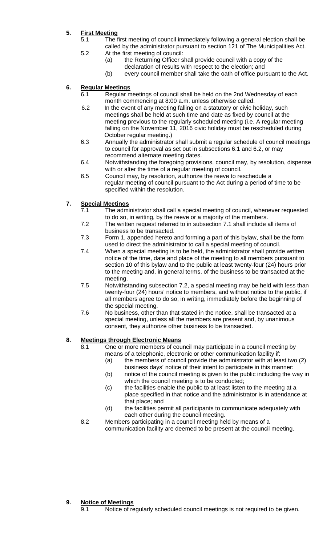## **5. First Meeting**

- 5.1 The first meeting of council immediately following a general election shall be called by the administrator pursuant to section 121 of The Municipalities Act.
- 5.2 At the first meeting of council: (a) the Returning Officer shall provide council with a copy of the
	- declaration of results with respect to the election; and
	- (b) every council member shall take the oath of office pursuant to the Act.

## **6. Regular Meetings**

- 6.1 Regular meetings of council shall be held on the 2nd Wednesday of each month commencing at 8:00 a.m. unless otherwise called.
- 6.2 In the event of any meeting falling on a statutory or civic holiday, such meetings shall be held at such time and date as fixed by council at the meeting previous to the regularly scheduled meeting (i.e. A regular meeting falling on the November 11, 2016 civic holiday must be rescheduled during October regular meeting.)
- 6.3 Annually the administrator shall submit a regular schedule of council meetings to council for approval as set out in subsections 6.1 and 6.2, or may recommend alternate meeting dates.
- 6.4 Notwithstanding the foregoing provisions, council may, by resolution, dispense with or alter the time of a regular meeting of council.
- 6.5 Council may, by resolution, authorize the reeve to reschedule a regular meeting of council pursuant to the Act during a period of time to be specified within the resolution.

## **7. Special Meetings**

- 7.1 The administrator shall call a special meeting of council, whenever requested to do so, in writing, by the reeve or a majority of the members.
- 7.2 The written request referred to in subsection 7.1 shall include all items of business to be transacted.
- 7.3 Form 1, appended hereto and forming a part of this bylaw, shall be the form used to direct the administrator to call a special meeting of council.
- 7.4 When a special meeting is to be held, the administrator shall provide written notice of the time, date and place of the meeting to all members pursuant to section 10 of this bylaw and to the public at least twenty-four (24) hours prior to the meeting and, in general terms, of the business to be transacted at the meeting.
- 7.5 Notwithstanding subsection 7.2, a special meeting may be held with less than twenty-four (24) hours' notice to members, and without notice to the public, if all members agree to do so, in writing, immediately before the beginning of the special meeting.
- 7.6 No business, other than that stated in the notice, shall be transacted at a special meeting, unless all the members are present and, by unanimous consent, they authorize other business to be transacted.

## **8. Meetings through Electronic Means**

- 8.1 One or more members of council may participate in a council meeting by means of a telephonic, electronic or other communication facility if:
	- (a) the members of council provide the administrator with at least two (2) business days' notice of their intent to participate in this manner:
	- (b) notice of the council meeting is given to the public including the way in which the council meeting is to be conducted;
	- (c) the facilities enable the public to at least listen to the meeting at a place specified in that notice and the administrator is in attendance at that place; and
- (d) the facilities permit all participants to communicate adequately with each other during the council meeting.<br>8.2 Members participating in a council meeting he
- Members participating in a council meeting held by means of a communication facility are deemed to be present at the council meeting.

## **9. Notice of Meetings**

9.1 Notice of regularly scheduled council meetings is not required to be given.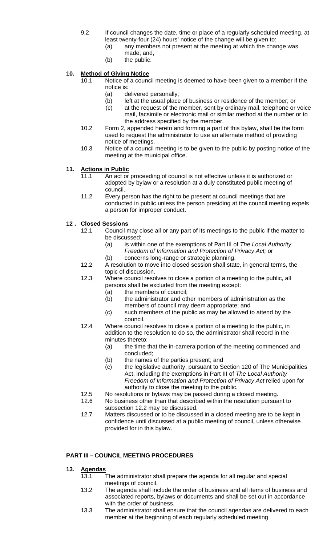- 9.2 If council changes the date, time or place of a regularly scheduled meeting, at least twenty-four (24) hours' notice of the change will be given to:
	- (a) any members not present at the meeting at which the change was made; and,
	- (b) the public.

## **10. Method of Giving Notice**

- 10.1 Notice of a council meeting is deemed to have been given to a member if the notice is:
	- (a) delivered personally;
	- (b) left at the usual place of business or residence of the member; or
	- (c) at the request of the member, sent by ordinary mail, telephone or voice mail, facsimile or electronic mail or similar method at the number or to the address specified by the member.
- 10.2 Form 2, appended hereto and forming a part of this bylaw, shall be the form used to request the administrator to use an alternate method of providing notice of meetings.
- 10.3 Notice of a council meeting is to be given to the public by posting notice of the meeting at the municipal office.

## **11. Actions in Public**

- 11.1 An act or proceeding of council is not effective unless it is authorized or adopted by bylaw or a resolution at a duly constituted public meeting of council.
- 11.2 Every person has the right to be present at council meetings that are conducted in public unless the person presiding at the council meeting expels a person for improper conduct.

## **12 . Closed Sessions**

- 12.1 Council may close all or any part of its meetings to the public if the matter to be discussed:
	- (a) is within one of the exemptions of Part III of *The Local Authority Freedom of Information and Protection of Privacy Act;* or
	- (b) concerns long-range or strategic planning.
- 12.2 A resolution to move into closed session shall state, in general terms, the topic of discussion.
- 12.3 Where council resolves to close a portion of a meeting to the public, all persons shall be excluded from the meeting except:
	- (a) the members of council;
	- (b) the administrator and other members of administration as the members of council may deem appropriate; and
	- (c) such members of the public as may be allowed to attend by the
- council.<br>12.4 Where council Where council resolves to close a portion of a meeting to the public, in addition to the resolution to do so, the administrator shall record in the minutes thereto:
	- (a) the time that the in-camera portion of the meeting commenced and concluded;<br>(b) the names
	- the names of the parties present; and
	- (c) the legislative authority, pursuant to Section 120 of The Municipalities Act, including the exemptions in Part III of *The Local Authority Freedom of Information and Protection of Privacy Act* relied upon for authority to close the meeting to the public.
- 12.5 No resolutions or bylaws may be passed during a closed meeting.
- 12.6 No business other than that described within the resolution pursuant to subsection 12.2 may be discussed.
- 12.7 Matters discussed or to be discussed in a closed meeting are to be kept in confidence until discussed at a public meeting of council, unless otherwise provided for in this bylaw.

### **PART III – COUNCIL MEETING PROCEDURES**

#### **13. Agendas**

- 13.1 The administrator shall prepare the agenda for all regular and special meetings of council.<br>13.2 The agenda shall ine
- The agenda shall include the order of business and all items of business and associated reports, bylaws or documents and shall be set out in accordance with the order of business.
- 13.3 The administrator shall ensure that the council agendas are delivered to each member at the beginning of each regularly scheduled meeting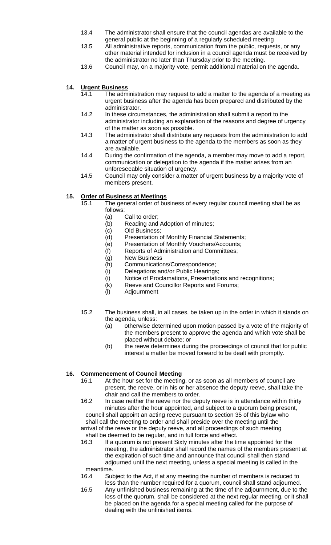- 13.4 The administrator shall ensure that the council agendas are available to the general public at the beginning of a regularly scheduled meeting
- 13.5 All administrative reports, communication from the public, requests, or any other material intended for inclusion in a council agenda must be received by the administrator no later than Thursday prior to the meeting.
- 13.6 Council may, on a majority vote, permit additional material on the agenda.

## **14. Urgent Business**

- 14.1 The administration may request to add a matter to the agenda of a meeting as urgent business after the agenda has been prepared and distributed by the administrator.
- 14.2 In these circumstances, the administration shall submit a report to the administrator including an explanation of the reasons and degree of urgency of the matter as soon as possible.
- 14.3 The administrator shall distribute any requests from the administration to add a matter of urgent business to the agenda to the members as soon as they are available.<br>14.4 During the co
- During the confirmation of the agenda, a member may move to add a report, communication or delegation to the agenda if the matter arises from an unforeseeable situation of urgency.
- 14.5 Council may only consider a matter of urgent business by a majority vote of members present.

## **15. Order of Business at Meetings**

- 15.1 The general order of business of every regular council meeting shall be as follows:
	- (a) Call to order;
	- (b) Reading and Adoption of minutes;
	- (c) Old Business;
	- (d) Presentation of Monthly Financial Statements;
	- (e) Presentation of Monthly Vouchers/Accounts;
	- (f) Reports of Administration and Committees;
	- (g) New Business
	- (h) Communications/Correspondence;
	- (i) Delegations and/or Public Hearings;
	- (i) Notice of Proclamations, Presentations and recognitions;
	- (k) Reeve and Councillor Reports and Forums;
	- (l) Adjournment
- 15.2 The business shall, in all cases, be taken up in the order in which it stands on the agenda, unless:
	- (a) otherwise determined upon motion passed by a vote of the majority of the members present to approve the agenda and which vote shall be placed without debate; or
	- (b) the reeve determines during the proceedings of council that for public interest a matter be moved forward to be dealt with promptly.

## **16. Commencement of Council Meeting**

 16.1 At the hour set for the meeting, or as soon as all members of council are present, the reeve, or in his or her absence the deputy reeve, shall take the chair and call the members to order.

 16.2 In case neither the reeve nor the deputy reeve is in attendance within thirty minutes after the hour appointed, and subject to a quorum being present, council shall appoint an acting reeve pursuant to section 35 of this bylaw who shall call the meeting to order and shall preside over the meeting until the arrival of the reeve or the deputy reeve, and all proceedings of such meeting shall be deemed to be regular, and in full force and effect.

- 16.3 If a quorum is not present Sixty minutes after the time appointed for the meeting, the administrator shall record the names of the members present at the expiration of such time and announce that council shall then stand adjourned until the next meeting, unless a special meeting is called in the meantime.
- 16.4 Subject to the Act, if at any meeting the number of members is reduced to less than the number required for a quorum, council shall stand adjourned.
- 16.5 Any unfinished business remaining at the time of the adjournment, due to the loss of the quorum, shall be considered at the next regular meeting, or it shall be placed on the agenda for a special meeting called for the purpose of dealing with the unfinished items.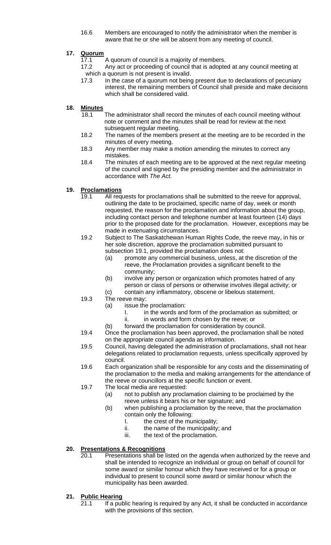16.6 Members are encouraged to notify the administrator when the member is aware that he or she will be absent from any meeting of council.

## **17. Quorum**

- 17.1 A quorum of council is a majority of members.
- 17.2 Any act or proceeding of council that is adopted at any council meeting at which a quorum is not present is invalid.
- 17.3 In the case of a quorum not being present due to declarations of pecuniary interest, the remaining members of Council shall preside and make decisions which shall be considered valid.

#### **18. Minutes**

- 18.1 The administrator shall record the minutes of each council meeting without note or comment and the minutes shall be read for review at the next subsequent regular meeting.<br>18.2 The names of the members
- The names of the members present at the meeting are to be recorded in the minutes of every meeting.
- 18.3 Any member may make a motion amending the minutes to correct any mistakes.
- 18.4 The minutes of each meeting are to be approved at the next regular meeting of the council and signed by the presiding member and the administrator in accordance with *The Act.*

#### **19. Proclamations**

- 19.1 All requests for proclamations shall be submitted to the reeve for approval, outlining the date to be proclaimed, specific name of day, week or month requested, the reason for the proclamation and information about the group, including contact person and telephone number at least fourteen (14) days prior to the proposed date for the proclamation. However, exceptions may be made in extenuating circumstances.
- 19.2 Subject to The Saskatchewan Human Rights Code, the reeve may, in his or her sole discretion, approve the proclamation submitted pursuant to subsection 19.1, provided the proclamation does not:
	- (a) promote any commercial business, unless, at the discretion of the reeve, the Proclamation provides a significant benefit to the community;
	- (b) involve any person or organization which promotes hatred of any person or class of persons or otherwise involves illegal activity; or
	- (c) contain any inflammatory, obscene or libelous statement.
- 19.3 The reeve may:
	- (a) issue the proclamation:
		- I. in the words and form of the proclamation as submitted; or
		- ii. in words and form chosen by the reeve; or
	- (b) forward the proclamation for consideration by council.
- 19.4 Once the proclamation has been approved, the proclamation shall be noted on the appropriate council agenda as information.
- 19.5 Council, having delegated the administration of proclamations, shall not hear delegations related to proclamation requests, unless specifically approved by council.
- 19.6 Each organization shall be responsible for any costs and the disseminating of the proclamation to the media and making arrangements for the attendance of the reeve or councillors at the specific function or event.
- 19.7 The local media are requested:
	- (a) not to publish any proclamation claiming to be proclaimed by the reeve unless it bears his or her signature; and
	- (b) when publishing a proclamation by the reeve, that the proclamation contain only the following:
		- I. the crest of the municipality;
		- ii. the name of the municipality; and
		- iii. the text of the proclamation.

#### **20. Presentations & Recognitions**

 20.1 Presentations shall be listed on the agenda when authorized by the reeve and shall be intended to recognize an individual or group on behalf of council for some award or similar honour which they have received or for a group or individual to present to council some award or similar honour which the municipality has been awarded.

## **21. Public Hearing**

21.1 If a public hearing is required by any Act, it shall be conducted in accordance with the provisions of this section.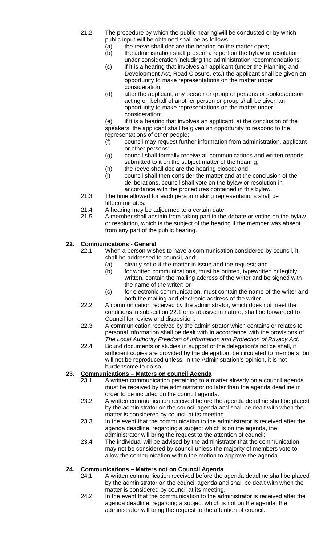- 21.2 The procedure by which the public hearing will be conducted or by which public input will be obtained shall be as follows:
	- (a) the reeve shall declare the hearing on the matter open;
	- (b) the administration shall present a report on the bylaw or resolution under consideration including the administration recommendations;
	- (c) if it is a hearing that involves an applicant (under the Planning and Development Act, Road Closure, etc.) the applicant shall be given an opportunity to make representations on the matter under consideration;
	- (d) after the applicant, any person or group of persons or spokesperson acting on behalf of another person or group shall be given an opportunity to make representations on the matter under consideration;
	- (e) if it is a hearing that involves an applicant, at the conclusion of the speakers, the applicant shall be given an opportunity to respond to the representations of other people;
	- (f) council may request further information from administration, applicant or other persons;
	- (g) council shall formally receive all communications and written reports submitted to it on the subject matter of the hearing;
	- (h) the reeve shall declare the hearing closed; and
	- (i) council shall then consider the matter and at the conclusion of the deliberations, council shall vote on the bylaw or resolution in accordance with the procedures contained in this bylaw.
- 21.3 The time allowed for each person making representations shall be
- fifteen minutes.<br>21.4 A hearing may A hearing may be adjourned to a certain date.
- 21.5 A member shall abstain from taking part in the debate or voting on the bylaw or resolution, which is the subject of the hearing if the member was absent from any part of the public hearing.

## **22. Communications - General**

- 22.1 When a person wishes to have a communication considered by council, it shall be addressed to council, and:
	- (a) clearly set out the matter in issue and the request; and
	- (b) for written communications, must be printed, typewritten or legibly written, contain the mailing address of the writer and be signed with the name of the writer; or
	- (c) for electronic communication, must contain the name of the writer and both the mailing and electronic address of the writer.
- 22.2 A communication received by the administrator, which does not meet the conditions in subsection 22.1 or is abusive in nature, shall be forwarded to Council for review and disposition.
- 22.3 A communication received by the administrator which contains or relates to personal information shall be dealt with in accordance with the provisions of *The Local Authority Freedom of Information and Protection of Privacy Act*.
- 22.4 Bound documents or studies in support of the delegation's notice shall, if sufficient copies are provided by the delegation, be circulated to members, but will not be reproduced unless, in the Administration's opinion, it is not burdensome to do so.

# **23**. **Communications – Matters on council Agenda**

- A written communication pertaining to a matter already on a council agenda must be received by the administrator no later than the agenda deadline in order to be included on the council agenda.
- 23.2 A written communication received before the agenda deadline shall be placed by the administrator on the council agenda and shall be dealt with when the matter is considered by council at its meeting.
- 23.3 In the event that the communication to the administrator is received after the agenda deadline, regarding a subject which is on the agenda, the administrator will bring the request to the attention of council:
- 23.4 The individual will be advised by the administrator that the communication may not be considered by council unless the majority of members vote to allow the communication within the motion to approve the agenda.

## **24. Communications – Matters not on Council Agenda**

- 24.1 A written communication received before the agenda deadline shall be placed by the administrator on the council agenda and shall be dealt with when the matter is considered by council at its meeting.
- 24.2 In the event that the communication to the administrator is received after the agenda deadline, regarding a subject which is not on the agenda, the administrator will bring the request to the attention of council.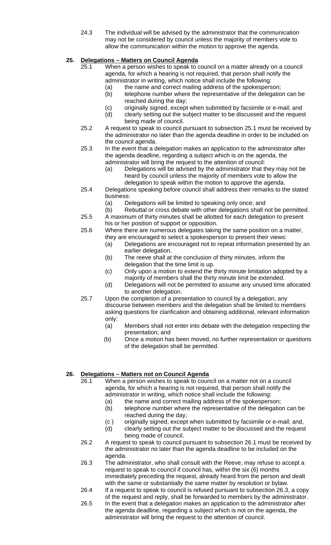24.3 The individual will be advised by the administrator that the communication may not be considered by council unless the majority of members vote to allow the communication within the motion to approve the agenda.

## **25. Delegations – Matters on Council Agenda**

- 25.1 When a person wishes to speak to council on a matter already on a council agenda, for which a hearing is not required, that person shall notify the administrator in writing, which notice shall include the following:
	- (a) the name and correct mailing address of the spokesperson;
	- (b) telephone number where the representative of the delegation can be reached during the day;
	- (c) originally signed, except when submitted by facsimile or e-mail; and
- (d) clearly setting out the subject matter to be discussed and the request being made of council.<br>25.2 A request to speak to council a
- 25.2 A request to speak to council pursuant to subsection 25.1 must be received by the administrator no later than the agenda deadline in order to be included on the council agenda.
- 25.3 In the event that a delegation makes an application to the administrator after the agenda deadline, regarding a subject which is on the agenda, the administrator will bring the request to the attention of council:
	- (a) Delegations will be advised by the administrator that they may not be heard by council unless the majority of members vote to allow the delegation to speak within the motion to approve the agenda.
- 25.4 Delegations speaking before council shall address their remarks to the stated business:
	- (a) Delegations will be limited to speaking only once; and
	- (b) Rebuttal or cross debate with other delegations shall not be permitted.
- 25.5 A maximum of thirty minutes shall be allotted for each delegation to present his or her position of support or opposition.
- 25.6 Where there are numerous delegates taking the same position on a matter, they are encouraged to select a spokesperson to present their views:
	- (a) Delegations are encouraged not to repeat information presented by an earlier delegation.
	- (b) The reeve shall at the conclusion of thirty minutes, inform the delegation that the time limit is up.
	- (c) Only upon a motion to extend the thirty minute limitation adopted by a majority of members shall the thirty minute limit be extended.
	- (d) Delegations will not be permitted to assume any unused time allocated to another delegation.
- 25.7 Upon the completion of a presentation to council by a delegation, any discourse between members and the delegation shall be limited to members asking questions for clarification and obtaining additional, relevant information only:
	- (a) Members shall not enter into debate with the delegation respecting the presentation; and
	- (b) Once a motion has been moved, no further representation or questions of the delegation shall be permitted.

#### **26. Delegations – Matters not on Council Agenda**

- 26.1 When a person wishes to speak to council on a matter not on a council agenda, for which a hearing is not required, that person shall notify the administrator in writing, which notice shall include the following:
	- (a) the name and correct mailing address of the spokesperson;
	- (b) telephone number where the representative of the delegation can be reached during the day;
	- (c ) originally signed, except when submitted by facsimile or e-mail; and,
	- (d) clearly setting out the subject matter to be discussed and the request being made of council.
- 26.2 A request to speak to council pursuant to subsection 26.1 must be received by the administrator no later than the agenda deadline to be included on the agenda.
- 26.3 The administrator, who shall consult with the Reeve, may refuse to accept a request to speak to council if council has, within the six (6) months immediately preceding the request, already heard from the person and dealt with the same or substantially the same matter by resolution or bylaw.
- 26.4 If a request to speak to council is refused pursuant to subsection 26.3, a copy of the request and reply, shall be forwarded to members by the administrator.
- 26.5 In the event that a delegation makes an application to the administrator after the agenda deadline, regarding a subject which is not on the agenda, the administrator will bring the request to the attention of council.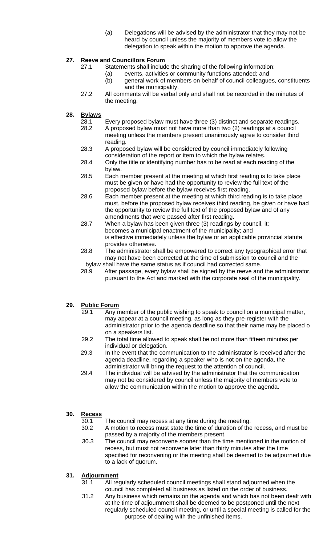(a) Delegations will be advised by the administrator that they may not be heard by council unless the majority of members vote to allow the delegation to speak within the motion to approve the agenda.

## **27. Reeve and Councillors Forum**

- 27.1 Statements shall include the sharing of the following information:
	- (a) events, activities or community functions attended; and
	- (b) general work of members on behalf of council colleagues, constituents and the municipality.
- 27.2 All comments will be verbal only and shall not be recorded in the minutes of the meeting.
- **28. Bylaws** 
	- 28.1 Every proposed bylaw must have three (3) distinct and separate readings.
	- 28.2 A proposed bylaw must not have more than two (2) readings at a council meeting unless the members present unanimously agree to consider third reading.
	- 28.3 A proposed bylaw will be considered by council immediately following consideration of the report or item to which the bylaw relates.
	- 28.4 Only the title or identifying number has to be read at each reading of the bylaw.
	- 28.5 Each member present at the meeting at which first reading is to take place must be given or have had the opportunity to review the full text of the proposed bylaw before the bylaw receives first reading.
	- 28.6 Each member present at the meeting at which third reading is to take place must, before the proposed bylaw receives third reading, be given or have had the opportunity to review the full text of the proposed bylaw and of any amendments that were passed after first reading.
	- 28.7 When a bylaw has been given three (3) readings by council, it: becomes a municipal enactment of the municipality; and is effective immediately unless the bylaw or an applicable provincial statute provides otherwise.
	- 28.8 The administrator shall be empowered to correct any typographical error that may not have been corrected at the time of submission to council and the bylaw shall have the same status as if council had corrected same.
	- 28.9 After passage, every bylaw shall be signed by the reeve and the administrator, pursuant to the Act and marked with the corporate seal of the municipality.

## **29. Public Forum**

- 29.1 Any member of the public wishing to speak to council on a municipal matter, may appear at a council meeting, as long as they pre-register with the administrator prior to the agenda deadline so that their name may be placed o on a speakers list.
- 29.2 The total time allowed to speak shall be not more than fifteen minutes per individual or delegation.
- 29.3 In the event that the communication to the administrator is received after the agenda deadline, regarding a speaker who is not on the agenda, the
- administrator will bring the request to the attention of council.<br>29.4 The individual will be advised by the administrator that the co The individual will be advised by the administrator that the communication may not be considered by council unless the majority of members vote to allow the communication within the motion to approve the agenda.

## **30. Recess**

30.1 The council may recess at any time during the meeting.

- 30.2 A motion to recess must state the time of duration of the recess, and must be passed by a majority of the members present.
- 30.3 The council may reconvene sooner than the time mentioned in the motion of recess, but must not reconvene later than thirty minutes after the time specified for reconvening or the meeting shall be deemed to be adjourned due to a lack of quorum.

## **31. Adjournment**

- 31.1 All regularly scheduled council meetings shall stand adjourned when the council has completed all business as listed on the order of business.
- 31.2 Any business which remains on the agenda and which has not been dealt with at the time of adjournment shall be deemed to be postponed until the next regularly scheduled council meeting, or until a special meeting is called for the purpose of dealing with the unfinished items.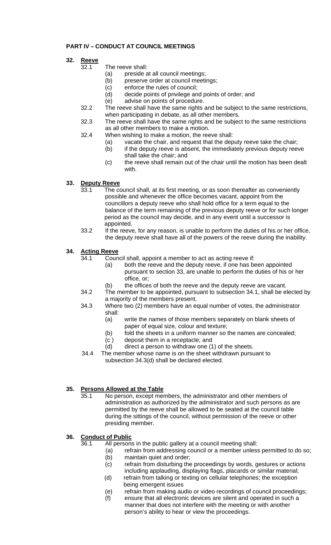## **PART IV – CONDUCT AT COUNCIL MEETINGS**

## **32. Reeve**

- 32.1 The reeve shall:
	- (a) preside at all council meetings;
	- (b) preserve order at council meetings;
	- (c) enforce the rules of council;
	- (d) decide points of privilege and points of order; and
- (e) advise on points of procedure.<br>32.2 The reeve shall have the same rights
	- The reeve shall have the same rights and be subject to the same restrictions, when participating in debate, as all other members.
- 32.3 The reeve shall have the same rights and be subject to the same restrictions as all other members to make a motion.<br>32.4 When wishing to make a motion, the ree
- When wishing to make a motion, the reeve shall:
	- (a) vacate the chair, and request that the deputy reeve take the chair;
	- (b) if the deputy reeve is absent, the immediately previous deputy reeve shall take the chair; and
	- (c) the reeve shall remain out of the chair until the motion has been dealt with.

## **33. Deputy Reeve**<br> **33.1** The co

- The council shall, at its first meeting, or as soon thereafter as conveniently possible and whenever the office becomes vacant, appoint from the councillors a deputy reeve who shall hold office for a term equal to the balance of the term remaining of the previous deputy reeve or for such longer period as the council may decide, and in any event until a successor is appointed.
- 33.2 If the reeve, for any reason, is unable to perform the duties of his or her office, the deputy reeve shall have all of the powers of the reeve during the inability.

#### **34. Acting Reeve**

- 34.1 Council shall, appoint a member to act as acting reeve if:
	- (a) both the reeve and the deputy reeve, if one has been appointed pursuant to section 33, are unable to perform the duties of his or her office, or;
	- (b) the offices of both the reeve and the deputy reeve are vacant.
- 34.2 The member to be appointed, pursuant to subsection 34.1, shall be elected by a majority of the members present.
- 34.3 Where two (2) members have an equal number of votes, the administrator shall:
	- (a) write the names of those members separately on blank sheets of paper of equal size, colour and texture;
	- (b) fold the sheets in a uniform manner so the names are concealed;
	- (c ) deposit them in a receptacle; and
	- (d) direct a person to withdraw one (1) of the sheets.
- 34.4 The member whose name is on the sheet withdrawn pursuant to subsection 34.3(d) shall be declared elected.

## **35. Persons Allowed at the Table**

 35.1 No person, except members, the administrator and other members of administration as authorized by the administrator and such persons as are permitted by the reeve shall be allowed to be seated at the council table during the sittings of the council, without permission of the reeve or other presiding member.

#### **36. Conduct of Public**

36.1 All persons in the public gallery at a council meeting shall:

- (a) refrain from addressing council or a member unless permitted to do so;
- (b) maintain quiet and order;
- (c) refrain from disturbing the proceedings by words, gestures or actions including applauding, displaying flags, placards or similar material;
- (d) refrain from talking or texting on cellular telephones; the exception being emergent issues
- (e) refrain from making audio or video recordings of council proceedings;
- (f) ensure that all electronic devices are silent and operated in such a manner that does not interfere with the meeting or with another person's ability to hear or view the proceedings.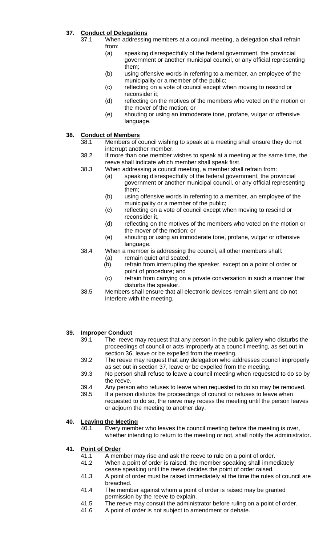## **37. Conduct of Delegations**

- 37.1 When addressing members at a council meeting, a delegation shall refrain from:
	- (a) speaking disrespectfully of the federal government, the provincial government or another municipal council, or any official representing them;
	- (b) using offensive words in referring to a member, an employee of the municipality or a member of the public;
	- (c) reflecting on a vote of council except when moving to rescind or reconsider it;
	- (d) reflecting on the motives of the members who voted on the motion or the mover of the motion; or
	- (e) shouting or using an immoderate tone, profane, vulgar or offensive language.

## **38.** Conduct of Members<br>38.1 Members of c

- Members of council wishing to speak at a meeting shall ensure they do not interrupt another member.
- 38.2 If more than one member wishes to speak at a meeting at the same time, the reeve shall indicate which member shall speak first.<br>38.3 When addressing a council meeting. a member sha
	- When addressing a council meeting, a member shall refrain from:
		- (a) speaking disrespectfully of the federal government, the provincial government or another municipal council, or any official representing them;
		- (b) using offensive words in referring to a member, an employee of the municipality or a member of the public;
		- (c) reflecting on a vote of council except when moving to rescind or reconsider it,
		- (d) reflecting on the motives of the members who voted on the motion or the mover of the motion; or
		- (e) shouting or using an immoderate tone, profane, vulgar or offensive language.
- 38.4 When a member is addressing the council, all other members shall:
	- (a) remain quiet and seated;
	- (b) refrain from interrupting the speaker, except on a point of order or point of procedure; and
	- (c) refrain from carrying on a private conversation in such a manner that disturbs the speaker.
- 38.5 Members shall ensure that all electronic devices remain silent and do not interfere with the meeting.

#### **39. Improper Conduct**

- 39.1 The reeve may request that any person in the public gallery who disturbs the proceedings of council or acts improperly at a council meeting, as set out in section 36, leave or be expelled from the meeting.
- 39.2 The reeve may request that any delegation who addresses council improperly as set out in section 37, leave or be expelled from the meeting.
- 39.3 No person shall refuse to leave a council meeting when requested to do so by the reeve.
- 39.4 Any person who refuses to leave when requested to do so may be removed.
- 39.5 If a person disturbs the proceedings of council or refuses to leave when requested to do so, the reeve may recess the meeting until the person leaves or adjourn the meeting to another day.

#### **40. Leaving the Meeting**

 40.1 Every member who leaves the council meeting before the meeting is over, whether intending to return to the meeting or not, shall notify the administrator.

#### **41. Point of Order**

- 41.1 A member may rise and ask the reeve to rule on a point of order.
- 41.2 When a point of order is raised, the member speaking shall immediately cease speaking until the reeve decides the point of order raised.
- 41.3 A point of order must be raised immediately at the time the rules of council are breached.
- 41.4 The member against whom a point of order is raised may be granted permission by the reeve to explain.
- 41.5 The reeve may consult the administrator before ruling on a point of order.
- 41.6 A point of order is not subject to amendment or debate.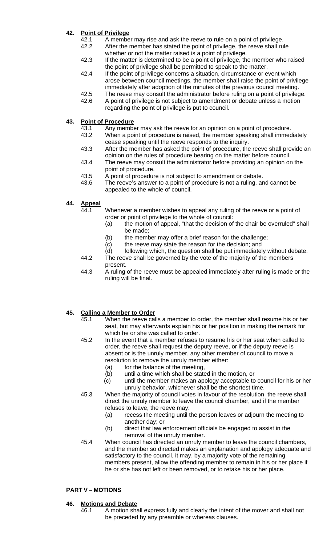## **42. Point of Privilege**

- 42.1 A member may rise and ask the reeve to rule on a point of privilege.
- 42.2 After the member has stated the point of privilege, the reeve shall rule whether or not the matter raised is a point of privilege.
- 42.3 If the matter is determined to be a point of privilege, the member who raised the point of privilege shall be permitted to speak to the matter.
- 42.4 If the point of privilege concerns a situation, circumstance or event which arose between council meetings, the member shall raise the point of privilege immediately after adoption of the minutes of the previous council meeting.
- 42.5 The reeve may consult the administrator before ruling on a point of privilege.
- 42.6 A point of privilege is not subject to amendment or debate unless a motion regarding the point of privilege is put to council.

## **43. Point of Procedure**

- 43.1 Any member may ask the reeve for an opinion on a point of procedure.<br>43.2 When a point of procedure is raised, the member speaking shall immed
- When a point of procedure is raised, the member speaking shall immediately cease speaking until the reeve responds to the inquiry.
- 43.3 After the member has asked the point of procedure, the reeve shall provide an opinion on the rules of procedure bearing on the matter before council.
- 43.4 The reeve may consult the administrator before providing an opinion on the point of procedure.
- 43.5 A point of procedure is not subject to amendment or debate.
- 43.6 The reeve's answer to a point of procedure is not a ruling, and cannot be appealed to the whole of council.
- **44. Appeal** 
	- 44.1 Whenever a member wishes to appeal any ruling of the reeve or a point of order or point of privilege to the whole of council:
		- (a) the motion of appeal, "that the decision of the chair be overruled" shall be made;
		- (b) the member may offer a brief reason for the challenge;
		-
		- (c) the reeve may state the reason for the decision; and (d) following which, the question shall be put immediatel following which, the question shall be put immediately without debate.
	- 44.2 The reeve shall be governed by the vote of the majority of the members present.
	- 44.3 A ruling of the reeve must be appealed immediately after ruling is made or the ruling will be final.

## **45. Calling a Member to Order**

- 45.1 When the reeve calls a member to order, the member shall resume his or her seat, but may afterwards explain his or her position in making the remark for which he or she was called to order.
- 45.2 In the event that a member refuses to resume his or her seat when called to order, the reeve shall request the deputy reeve, or if the deputy reeve is absent or is the unruly member, any other member of council to move a resolution to remove the unruly member either:
	- (a) for the balance of the meeting,
	- (b) until a time which shall be stated in the motion, or
	- (c) until the member makes an apology acceptable to council for his or her unruly behavior, whichever shall be the shortest time.
- 45.3 When the majority of council votes in favour of the resolution, the reeve shall direct the unruly member to leave the council chamber, and if the member refuses to leave, the reeve may:
	- (a) recess the meeting until the person leaves or adjourn the meeting to another day; or
	- (b) direct that law enforcement officials be engaged to assist in the removal of the unruly member.
- 45.4 When council has directed an unruly member to leave the council chambers, and the member so directed makes an explanation and apology adequate and satisfactory to the council, it may, by a majority vote of the remaining members present, allow the offending member to remain in his or her place if he or she has not left or been removed, or to retake his or her place.

## **PART V – MOTIONS**

## **46. Motions and Debate**

 46.1 A motion shall express fully and clearly the intent of the mover and shall not be preceded by any preamble or whereas clauses.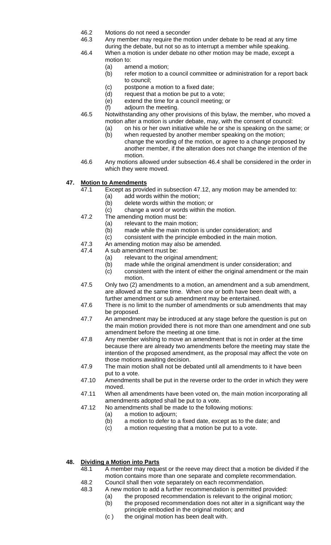- 46.2 Motions do not need a seconder
- 46.3 Any member may require the motion under debate to be read at any time
- during the debate, but not so as to interrupt a member while speaking. 46.4 When a motion is under debate no other motion may be made, except a
	- motion to: (a) amend a motion;
		- (b) refer motion to a council committee or administration for a report back to council;
		- (c) postpone a motion to a fixed date;
		- (d) request that a motion be put to a vote;
		- (e) extend the time for a council meeting; or
		- (f) adjourn the meeting.
- 46.5 Notwithstanding any other provisions of this bylaw, the member, who moved a motion after a motion is under debate, may, with the consent of council:
	- (a) on his or her own initiative while he or she is speaking on the same; or (b) when requested by another member speaking on the motion;
		- change the wording of the motion, or agree to a change proposed by another member, if the alteration does not change the intention of the motion.
- 46.6 Any motions allowed under subsection 46.4 shall be considered in the order in which they were moved.

## **47. Motion to Amendments**

- 47.1 Except as provided in subsection 47.12, any motion may be amended to:
	- (a) add words within the motion;
		- (b) delete words within the motion; or
		- (c) change a word or words within the motion.
- 47.2 The amending motion must be:
	- (a) relevant to the main motion;
	- (b) made while the main motion is under consideration; and
	- (c) consistent with the principle embodied in the main motion.
- 47.3 An amending motion may also be amended.
- 47.4 A sub amendment must be:
	- (a) relevant to the original amendment;
	- (b) made while the original amendment is under consideration; and
	- (c) consistent with the intent of either the original amendment or the main motion.
- 47.5 Only two (2) amendments to a motion, an amendment and a sub amendment, are allowed at the same time. When one or both have been dealt with, a further amendment or sub amendment may be entertained.
- 47.6 There is no limit to the number of amendments or sub amendments that may be proposed.
- 47.7 An amendment may be introduced at any stage before the question is put on the main motion provided there is not more than one amendment and one sub amendment before the meeting at one time.
- 47.8 Any member wishing to move an amendment that is not in order at the time because there are already two amendments before the meeting may state the intention of the proposed amendment, as the proposal may affect the vote on those motions awaiting decision.
- 47.9 The main motion shall not be debated until all amendments to it have been put to a vote.
- 47.10 Amendments shall be put in the reverse order to the order in which they were moved.
- 47.11 When all amendments have been voted on, the main motion incorporating all amendments adopted shall be put to a vote.
- 47.12 No amendments shall be made to the following motions:
	- (a) a motion to adjourn;
	- (b) a motion to defer to a fixed date, except as to the date; and
	- (c) a motion requesting that a motion be put to a vote.

#### **48. Dividing a Motion into Parts**

- 48.1 A member may request or the reeve may direct that a motion be divided if the motion contains more than one separate and complete recommendation.<br>48.2 Council shall then vote separately on each recommendation.
	- Council shall then vote separately on each recommendation.
- 48.3 A new motion to add a further recommendation is permitted provided:
	- (a) the proposed recommendation is relevant to the original motion; (b) the proposed recommendation does not alter in a significant way the principle embodied in the original motion; and
		-
	- (c ) the original motion has been dealt with.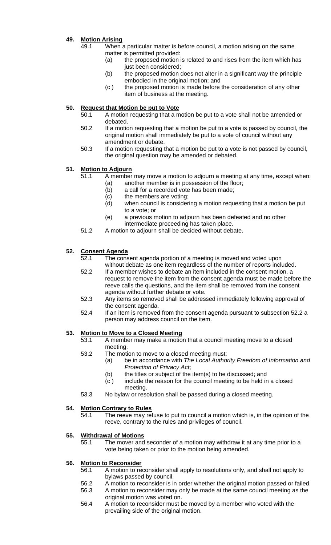## **49. Motion Arising**

- 49.1 When a particular matter is before council, a motion arising on the same matter is permitted provided:
	- (a) the proposed motion is related to and rises from the item which has just been considered;
	- (b) the proposed motion does not alter in a significant way the principle embodied in the original motion; and
	- (c ) the proposed motion is made before the consideration of any other item of business at the meeting.

## **50. Request that Motion be put to Vote**

- 50.1 A motion requesting that a motion be put to a vote shall not be amended or debated.
- 50.2 If a motion requesting that a motion be put to a vote is passed by council, the original motion shall immediately be put to a vote of council without any amendment or debate.
- 50.3 If a motion requesting that a motion be put to a vote is not passed by council, the original question may be amended or debated.

## **51. Motion to Adjourn**

- 51.1 A member may move a motion to adjourn a meeting at any time, except when:
	- (a) another member is in possession of the floor;<br>(b) a call for a recorded vote has been made;
	- a call for a recorded vote has been made;
	- (c) the members are voting;
	- (d) when council is considering a motion requesting that a motion be put to a vote; or
	- (e) a previous motion to adjourn has been defeated and no other intermediate proceeding has taken place.
- 51.2 A motion to adjourn shall be decided without debate.

## **52. Consent Agenda**

- 52.1 The consent agenda portion of a meeting is moved and voted upon without debate as one item regardless of the number of reports included.
- 52.2 If a member wishes to debate an item included in the consent motion, a request to remove the item from the consent agenda must be made before the reeve calls the questions, and the item shall be removed from the consent agenda without further debate or vote.
- 52.3 Any items so removed shall be addressed immediately following approval of the consent agenda.
- 52.4 If an item is removed from the consent agenda pursuant to subsection 52.2 a person may address council on the item.

#### **53. Motion to Move to a Closed Meeting**

- 53.1 A member may make a motion that a council meeting move to a closed meeting.
- 53.2 The motion to move to a closed meeting must:
	- (a) be in accordance with *The Local Authority Freedom of Information and Protection of Privacy Act*;
	- (b) the titles or subject of the item(s) to be discussed; and
	- (c ) include the reason for the council meeting to be held in a closed meeting.
- 53.3 No bylaw or resolution shall be passed during a closed meeting.

#### **54. Motion Contrary to Rules**

 54.1 The reeve may refuse to put to council a motion which is, in the opinion of the reeve, contrary to the rules and privileges of council.

#### **55. Withdrawal of Motions**

 55.1 The mover and seconder of a motion may withdraw it at any time prior to a vote being taken or prior to the motion being amended.

#### **56. Motion to Reconsider**

- 56.1 A motion to reconsider shall apply to resolutions only, and shall not apply to bylaws passed by council.
- 56.2 A motion to reconsider is in order whether the original motion passed or failed.
- 56.3 A motion to reconsider may only be made at the same council meeting as the original motion was voted on.
- 56.4 A motion to reconsider must be moved by a member who voted with the prevailing side of the original motion.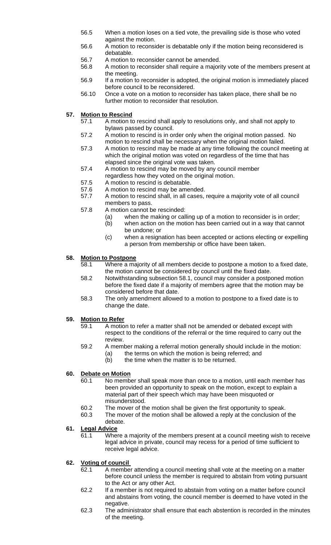- 56.5 When a motion loses on a tied vote, the prevailing side is those who voted against the motion.
- 56.6 A motion to reconsider is debatable only if the motion being reconsidered is debatable.
- 56.7 A motion to reconsider cannot be amended.
- 56.8 A motion to reconsider shall require a majority vote of the members present at the meeting.
- 56.9 If a motion to reconsider is adopted, the original motion is immediately placed before council to be reconsidered.
- 56.10 Once a vote on a motion to reconsider has taken place, there shall be no further motion to reconsider that resolution.

## **57. Motion to Rescind**

- 57.1 A motion to rescind shall apply to resolutions only, and shall not apply to bylaws passed by council.
- 57.2 A motion to rescind is in order only when the original motion passed. No motion to rescind shall be necessary when the original motion failed.
- 57.3 A motion to rescind may be made at any time following the council meeting at which the original motion was voted on regardless of the time that has elapsed since the original vote was taken.
- 57.4 A motion to rescind may be moved by any council member
- regardless how they voted on the original motion.
- 57.5 A motion to rescind is debatable.
- 57.6 A motion to rescind may be amended.
- 57.7 A motion to rescind shall, in all cases, require a majority vote of all council members to pass.
- 57.8 A motion cannot be rescinded:
	- (a) when the making or calling up of a motion to reconsider is in order;
	- (b) when action on the motion has been carried out in a way that cannot be undone; or
	- (c) when a resignation has been accepted or actions electing or expelling a person from membership or office have been taken.

#### **58. Motion to Postpone**

- 58.1 Where a majority of all members decide to postpone a motion to a fixed date, the motion cannot be considered by council until the fixed date.<br>58.2 Notwithstanding subsection 58.1, council may consider a postpo
- Notwithstanding subsection 58.1, council may consider a postponed motion before the fixed date if a majority of members agree that the motion may be considered before that date.
- 58.3 The only amendment allowed to a motion to postpone to a fixed date is to change the date.

#### **59. Motion to Refer**

- 59.1 A motion to refer a matter shall not be amended or debated except with respect to the conditions of the referral or the time required to carry out the review.
- 59.2 A member making a referral motion generally should include in the motion:
	- (a) the terms on which the motion is being referred; and
	- (b) the time when the matter is to be returned.

#### **60. Debate on Motion**

- 60.1 No member shall speak more than once to a motion, until each member has been provided an opportunity to speak on the motion, except to explain a material part of their speech which may have been misquoted or misunderstood.
- 60.2 The mover of the motion shall be given the first opportunity to speak.
- 60.3 The mover of the motion shall be allowed a reply at the conclusion of the debate.

#### **61. Legal Advice**

 61.1 Where a majority of the members present at a council meeting wish to receive legal advice in private, council may recess for a period of time sufficient to receive legal advice.

#### **62. Voting of council**

- 62.1 A member attending a council meeting shall vote at the meeting on a matter before council unless the member is required to abstain from voting pursuant to the Act or any other Act.
- 62.2 If a member is not required to abstain from voting on a matter before council and abstains from voting, the council member is deemed to have voted in the negative.
- 62.3 The administrator shall ensure that each abstention is recorded in the minutes of the meeting.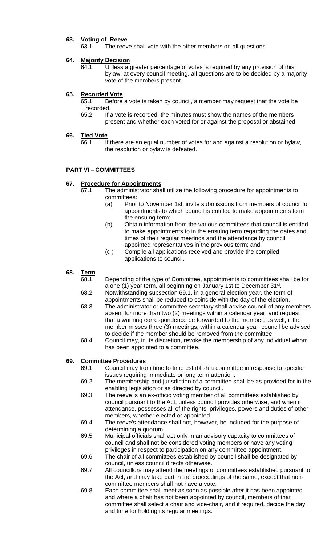## **63. Voting of Reeve**

63.1 The reeve shall vote with the other members on all questions.

#### **64. Majority Decision**

 64.1 Unless a greater percentage of votes is required by any provision of this bylaw, at every council meeting, all questions are to be decided by a majority vote of the members present.

#### **65. Recorded Vote**

 65.1 Before a vote is taken by council, a member may request that the vote be recorded.

 65.2 If a vote is recorded, the minutes must show the names of the members present and whether each voted for or against the proposal or abstained.

## **66. Tied Vote**

If there are an equal number of votes for and against a resolution or bylaw, the resolution or bylaw is defeated.

#### **PART VI – COMMITTEES**

#### **67. Procedure for Appointments**

- 67.1 The administrator shall utilize the following procedure for appointments to committees:
	- (a) Prior to November 1st, invite submissions from members of council for appointments to which council is entitled to make appointments to in the ensuing term;
	- (b) Obtain information from the various committees that council is entitled to make appointments to in the ensuing term regarding the dates and times of their regular meetings and the attendance by council appointed representatives in the previous term; and
	- (c ) Compile all applications received and provide the compiled applications to council.
- **68. Term** 
	- 68.1 Depending of the type of Committee, appointments to committees shall be for a one (1) year term, all beginning on January 1st to December 31st. 68.2 Notwithstanding subsection 69.1, in a general election year, the term of
	- appointments shall be reduced to coincide with the day of the election. 68.3 The administrator or committee secretary shall advise council of any members absent for more than two (2) meetings within a calendar year, and request that a warning correspondence be forwarded to the member, as well, if the member misses three (3) meetings, within a calendar year, council be advised to decide if the member should be removed from the committee.
	- 68.4 Council may, in its discretion, revoke the membership of any individual whom has been appointed to a committee.

#### **69. Committee Procedures**

- 69.1 Council may from time to time establish a committee in response to specific issues requiring immediate or long term attention.
- 69.2 The membership and jurisdiction of a committee shall be as provided for in the enabling legislation or as directed by council.
- 69.3 The reeve is an ex-officio voting member of all committees established by council pursuant to the Act, unless council provides otherwise, and when in attendance, possesses all of the rights, privileges, powers and duties of other members, whether elected or appointed.
- 69.4 The reeve's attendance shall not, however, be included for the purpose of determining a quorum.
- 69.5 Municipal officials shall act only in an advisory capacity to committees of council and shall not be considered voting members or have any voting privileges in respect to participation on any committee appointment.
- 69.6 The chair of all committees established by council shall be designated by council, unless council directs otherwise.
- 69.7 All councillors may attend the meetings of committees established pursuant to the Act, and may take part in the proceedings of the same, except that non committee members shall not have a vote.
- 69.8 Each committee shall meet as soon as possible after it has been appointed and where a chair has not been appointed by council, members of that committee shall select a chair and vice-chair, and if required, decide the day and time for holding its regular meetings.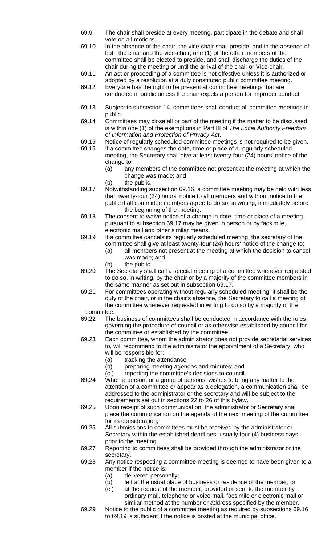- 69.9 The chair shall preside at every meeting, participate in the debate and shall vote on all motions.
- 69.10 In the absence of the chair, the vice-chair shall preside, and in the absence of both the chair and the vice-chair, one (1) of the other members of the committee shall be elected to preside, and shall discharge the duties of the chair during the meeting or until the arrival of the chair or Vice-chair.<br>69.11 An act or proceeding of a committee is not effective unless it is autho
- An act or proceeding of a committee is not effective unless it is authorized or adopted by a resolution at a duly constituted public committee meeting.
- 69.12 Everyone has the right to be present at committee meetings that are conducted in public unless the chair expels a person for improper conduct.
- 69.13 Subject to subsection 14, committees shall conduct all committee meetings in public.
- 69.14 Committees may close all or part of the meeting if the matter to be discussed is within one (1) of the exemptions in Part III of *The Local Authority Freedom of Information and Protection of Privacy Act*.
- 69.15 Notice of regularly scheduled committee meetings is not required to be given.
- 69.16 If a committee changes the date, time or place of a regularly scheduled meeting, the Secretary shall give at least twenty-four (24) hours' notice of the change to:
	- (a) any members of the committee not present at the meeting at which the change was made; and
	- (b) the public.
- 69.17 Notwithstanding subsection 69.16, a committee meeting may be held with less than twenty-four (24) hours' notice to all members and without notice to the public if all committee members agree to do so, in writing, immediately before the beginning of the meeting.
- 69.18 The consent to waive notice of a change in date, time or place of a meeting pursuant to subsection 69.17 may be given in person or by facsimile, electronic mail and other similar means.
- 69.19 If a committee cancels its regularly scheduled meeting, the secretary of the committee shall give at least twenty-four (24) hours' notice of the change to:
	- (a) all members not present at the meeting at which the decision to cancel was made; and
	- (b) the public.
- 69.20 The Secretary shall call a special meeting of a committee whenever requested to do so, in writing, by the chair or by a majority of the committee members in the same manner as set out in subsection 69.17.
- 69.21 For committees operating without regularly scheduled meeting, it shall be the duty of the chair, or in the chair's absence, the Secretary to call a meeting of the committee whenever requested in writing to do so by a majority of the committee.
- 69.22 The business of committees shall be conducted in accordance with the rules governing the procedure of council or as otherwise established by council for the committee or established by the committee.
- 69.23 Each committee, whom the administrator does not provide secretarial services to, will recommend to the administrator the appointment of a Secretary, who will be responsible for:
	- (a) tracking the attendance;
	- (b) preparing meeting agendas and minutes; and
	- (c ) reporting the committee's decisions to council.
- 69.24 When a person, or a group of persons, wishes to bring any matter to the attention of a committee or appear as a delegation, a communication shall be addressed to the administrator or the secretary and will be subject to the requirements set out in sections 22 to 26 of this bylaw.
- 69.25 Upon receipt of such communication, the administrator or Secretary shall place the communication on the agenda of the next meeting of the committee for its consideration;
- 69.26 All submissions to committees must be received by the administrator or Secretary within the established deadlines, usually four (4) business days prior to the meeting.
- 69.27 Reporting to committees shall be provided through the administrator or the secretary.
- 69.28 Any notice respecting a committee meeting is deemed to have been given to a member if the notice is:
	- (a) delivered personally;
	- (b) left at the usual place of business or residence of the member; or
	- (c ) at the request of the member, provided or sent to the member by ordinary mail, telephone or voice mail, facsimile or electronic mail or similar method at the number or address specified by the member.
- 
- 69.29 Notice to the public of a committee meeting as required by subsections 69.16 to 69.19 is sufficient if the notice is posted at the municipal office.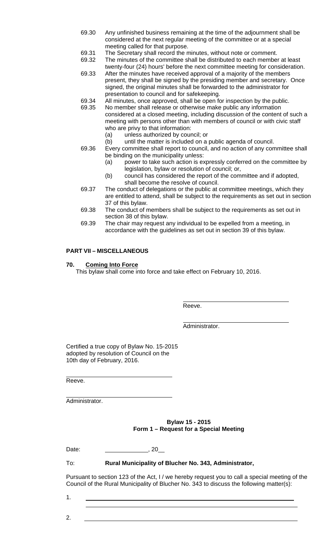- 69.30 Any unfinished business remaining at the time of the adjournment shall be considered at the next regular meeting of the committee or at a special meeting called for that purpose.
- 69.31 The Secretary shall record the minutes, without note or comment.
- 69.32 The minutes of the committee shall be distributed to each member at least twenty-four (24) hours' before the next committee meeting for consideration.
- 69.33 After the minutes have received approval of a majority of the members present, they shall be signed by the presiding member and secretary. Once signed, the original minutes shall be forwarded to the administrator for presentation to council and for safekeeping.
- 69.34 All minutes, once approved, shall be open for inspection by the public.<br>69.35 No member shall release or otherwise make public any information
- No member shall release or otherwise make public any information considered at a closed meeting, including discussion of the content of such a meeting with persons other than with members of council or with civic staff who are privy to that information:
	- (a) unless authorized by council; or
	- (b) until the matter is included on a public agenda of council.
- 69.36 Every committee shall report to council, and no action of any committee shall be binding on the municipality unless:
	- (a) power to take such action is expressly conferred on the committee by legislation, bylaw or resolution of council; or,
	- (b) council has considered the report of the committee and if adopted, shall become the resolve of council.
- 69.37 The conduct of delegations or the public at committee meetings, which they are entitled to attend, shall be subject to the requirements as set out in section 37 of this bylaw.
- 69.38 The conduct of members shall be subject to the requirements as set out in section 38 of this bylaw.
- 69.39 The chair may request any individual to be expelled from a meeting, in accordance with the guidelines as set out in section 39 of this bylaw.

#### **PART VII – MISCELLANEOUS**

#### **70. Coming Into Force**

This bylaw shall come into force and take effect on February 10, 2016.

Reeve.

Administrator.

Certified a true copy of Bylaw No. 15-2015 adopted by resolution of Council on the 10th day of February, 2016.

Reeve.

 $\overline{a}$ 

 $\overline{a}$ Administrator.

> **Bylaw 15 - 2015 Form 1 – Request for a Special Meeting**

Date: \_\_\_\_\_\_\_\_\_\_\_\_\_\_\_\_\_\_\_\_\_\_\_\_\_\_, 20\_

#### To: **Rural Municipality of Blucher No. 343, Administrator,**

Pursuant to section 123 of the Act, I / we hereby request you to call a special meeting of the Council of the Rural Municipality of Blucher No. 343 to discuss the following matter(s):

1.

2.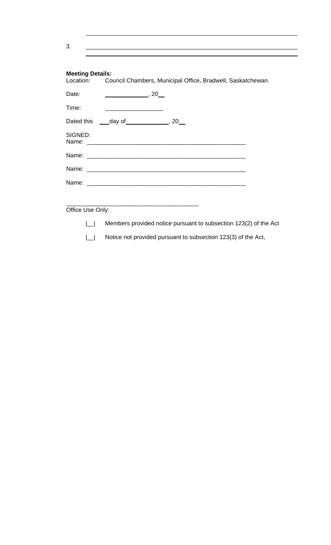| 3.                                   |                                                                  |
|--------------------------------------|------------------------------------------------------------------|
|                                      |                                                                  |
| <b>Meeting Details:</b><br>Location: | Council Chambers, Municipal Office, Bradwell, Saskatchewan.      |
| Date:                                | $\frac{1}{20}$ , 20                                              |
| Time:                                |                                                                  |
|                                      | Dated this _____ day of ________________, 20___                  |
| SIGNED:                              |                                                                  |
|                                      |                                                                  |
|                                      |                                                                  |
|                                      |                                                                  |
|                                      |                                                                  |
| Office Use Only:                     | <u> 1989 - Johann Barbara, margaret eta idazlea (h. 1989).</u>   |
|                                      | Members provided notice pursuant to subsection 123(2) of the Act |
|                                      | Notice not provided pursuant to subsection 123(3) of the Act,    |